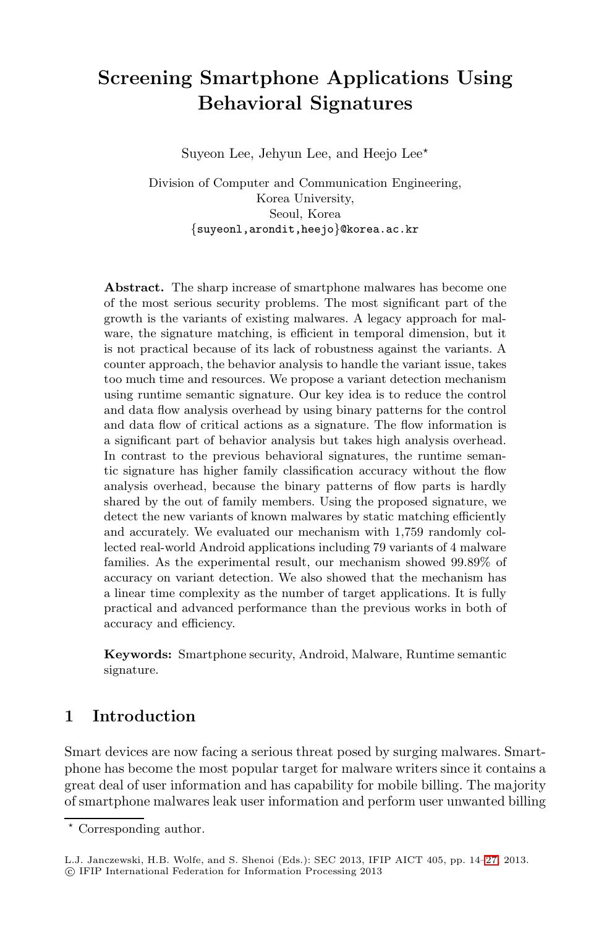# **Screening Smartphone Applications Using Behavioral Signatures**

Suyeon Lee, Jehyun Lee, and Heejo Lee<sup>\*</sup>

Division of Computer and Communication Engineering, Korea University, Seoul, Korea *{*suyeonl,arondit,heejo*}*@korea.ac.kr

**Abstract.** The sharp increase of smartphone malwares has become one of the most serious security problems. The most significant part of the growth is the variants of existing malwares. A legacy approach for malware, the signature matching, is efficient in temporal dimension, but it is not practical because of its lack of robustness against the variants. A counter approach, the behavior analysis to handle the variant issue, takes too much time and resources. We propose a variant detection mechanism using runtime semantic signature. Our key idea is to reduce the control and data flow analysis overhead by using binary patterns for the control and data flow of critical actions as a signature. The flow information is a significant part of behavior analysis but takes high analysis overhead. In contrast to the previous behavioral signatures, the runtime semantic signature has higher family classification accuracy without the flow analysis overhead, because the binary patterns of flow parts is hardly shared by the out of family members. Using the proposed signature, we detect the new variants of known malwares by static matching efficiently and accurately. We evaluated our mechanism with 1,759 randomly collected real-world Android applications including 79 variants of 4 malware families. As the experimental result, our mechanism showed 99.89% of accuracy on variant detection. We also showed that the mechanism has a linear time complexity as the number of target applications. It is fully practical and advanced performance than the previous works in both of accuracy and efficiency.

**Keywords:** Smartphone security, Android, Malware, Runtime semantic signature.

# **1 Introduction**

Smart devices are now facing a serious threat posed by surging malwares. Smartphone has become the most popular target for malware writers since it contains a great deal of user information and has capability for mobile billing. The majority of smartphone malwares leak user information and perform user unwanted billing

<sup>-</sup> Corresponding author.

L.J. Janczewski, H.B. Wolfe, and S. Shenoi (Eds.): SEC 2013, IFIP AICT 405, pp. 14–27, 2013. -c IFIP International Federation for Information Processing 2013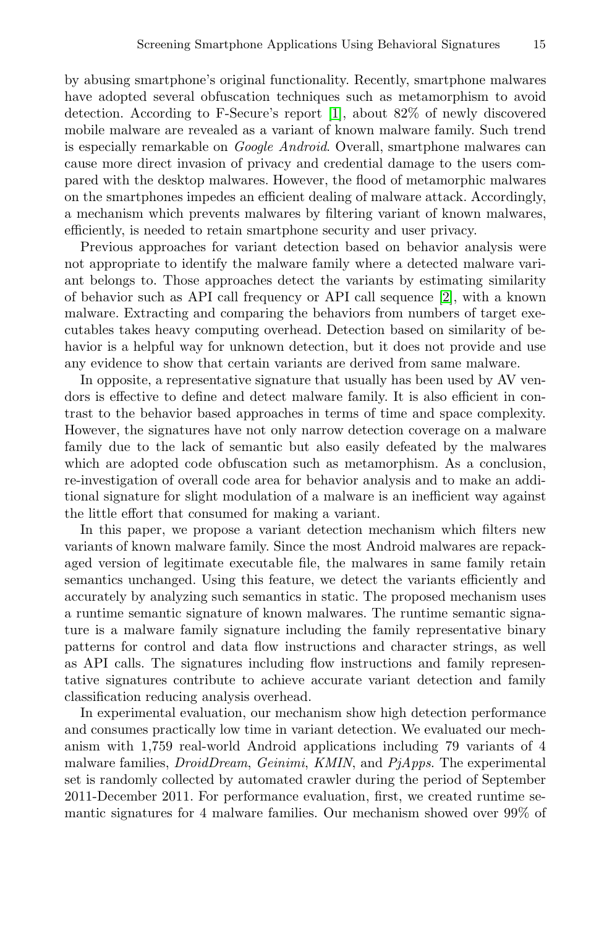by abusing smartphone's original functionality. Recently, smartphone malwares have adopted several obfuscation techniques such as metamorphism to avoid detection. According to F-Secure's report [1], about 82% of newly discovered mobile malware are revealed as a variant of known malware family. Such trend is especially remarkable on *Google Android*. Overall, smartphone malwares can cause more direct invasion of privacy and c[red](#page-12-0)ential damage to the users compared with the desktop malwares. However, the flood of metamorphic malwares on the smartphones impedes an efficient dealing of malware attack. Accordingly, a mechanism which prevents malwares by filtering variant of known malwares, efficiently, is needed to retain smartphone security and user privacy.

Previous approaches for variant detection based on behavior analysis were not appropriate to identify the malware family where a detected malware variant belongs to. Those approaches detect the variants by estimating similarity of behavior such as API call frequency or API call sequence [2], with a known malware. Extracting and comparing the behaviors from numbers of target executables takes heavy computing overhead. Detection based on similarity of behavior is a helpful way for unknown detection, but it does not provide and use any evidence to show that certain variants are derived from same malware.

In opposite, a representative signature that usually has been used by AV vendors is effective to define and detect malware family. It is also efficient in contrast to the behavior based approaches in terms of time and space complexity. However, the signatures have not only narrow detection coverage on a malware family due to the lack of semantic but also easily defeated by the malwares which are adopted code obfuscation such as metamorphism. As a conclusion, re-investigation of overall code area for behavior analysis and to make an additional signature for slight modulation of a malware is an inefficient way against the little effort that consumed for making a variant.

In this paper, we propose a variant detection mechanism which filters new variants of known malware family. Since the most Android malwares are repackaged version of legitimate executable file, the malwares in same family retain semantics unchanged. Using this feature, we detect the variants efficiently and accurately by analyzing such semantics in static. The proposed mechanism uses a runtime semantic signature of known malwares. The runtime semantic signature is a malware family signature including the family representative binary patterns for control and data flow instructions and character strings, as well as API calls. The signatures including flow instructions and family representative signatures contribute to achieve accurate variant detection and family classification reducing analysis overhead.

In experimental evaluation, our mechanism show high detection performance and consumes practically low time in variant detection. We evaluated our mechanism with 1,759 real-world Android applications including 79 variants of 4 malware families, *DroidDream*, *Geinimi*, *KMIN*, and *PjApps*. The experimental set is randomly collected by automated crawler during the period of September 2011-December 2011. For performance evaluation, first, we created runtime semantic signatures for 4 malware families. Our mechanism showed over 99% of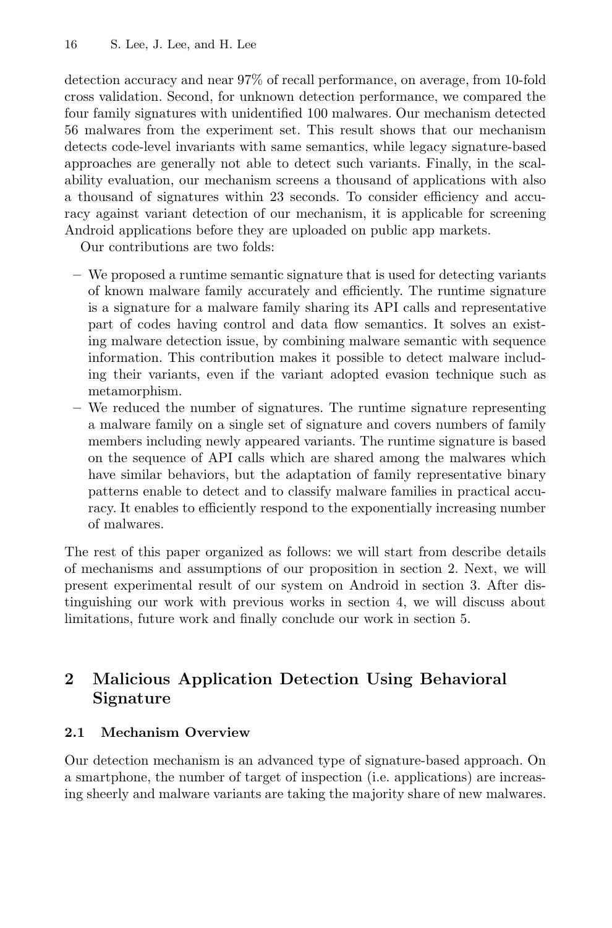detection accuracy and near 97% of recall performance, on average, from 10-fold cross validation. Second, for unknown detection performance, we compared the four family signatures with unidentified 100 malwares. Our mechanism detected 56 malwares from the experiment set. This result shows that our mechanism detects code-level invariants with same semantics, while legacy signature-based approaches are generally not able to detect such variants. Finally, in the scalability evaluation, our mechanism screens a thousand of applications with also a thousand of signatures within 23 seconds. To consider efficiency and accuracy against variant detection of our mechanism, it is applicable for screening Android applications before they are uploaded on public app markets.

Our contributions are two folds:

- **–** We proposed a runtime semantic signature that is used for detecting variants of known malware family accurately and efficiently. The runtime signature is a signature for a malware family sharing its API calls and representative part of codes having control and data flow semantics. It solves an existing malware detection issue, by combining malware semantic with sequence information. This contribution makes it possible to detect malware including their variants, even if the variant adopted evasion technique such as metamorphism.
- **–** We reduced the number of signatures. The runtime signature representing a malware family on a single set of signature and covers numbers of family members including newly appeared variants. The runtime signature is based on the sequence of API calls which are shared among the malwares which have similar behaviors, but the adaptation of family representative binary patterns enable to detect and to classify malware families in practical accuracy. It enables to efficiently respond to the exponentially increasing number of malwares.

The rest of this paper organized as follows: we will start from describe details of mechanisms and assumptions of our proposition in section 2. Next, we will present experimental result of our system on Android in section 3. After distinguishing our work with previous works in section 4, we will discuss about limitations, future work and finally conclude our work in section 5.

# **2 Malicious Application Detection Using Behavioral Signature**

### **2.1 Mechanism Overview**

Our detection mechanism is an advanced type of signature-based approach. On a smartphone, the number of target of inspection (i.e. applications) are increasing sheerly and malware variants are taking the majority share of new malwares.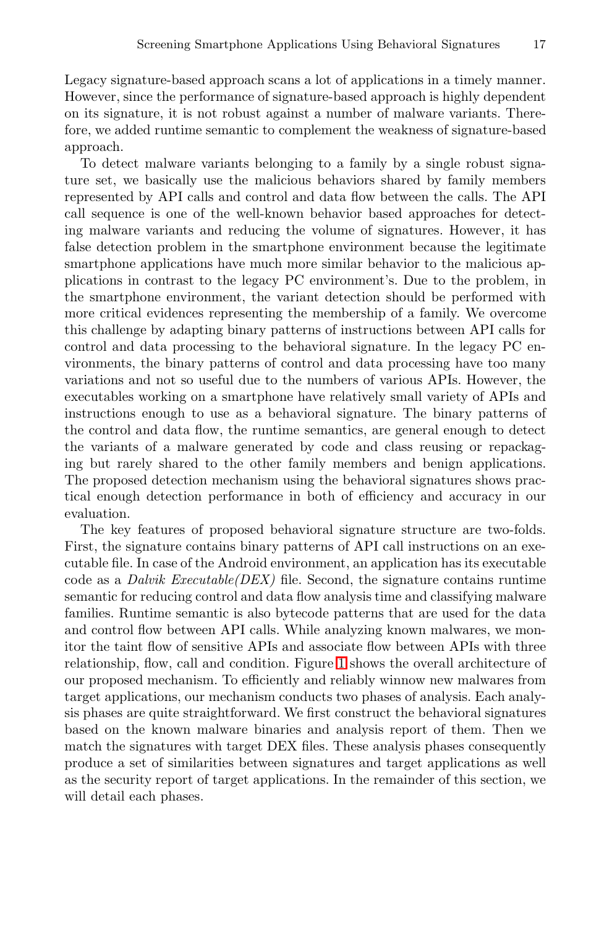Legacy signature-based approach scans a lot of applications in a timely manner. However, since the performance of signature-based approach is highly dependent on its signature, it is not robust against a number of malware variants. Therefore, we added runtime semantic to complement the weakness of signature-based approach.

To detect malware variants belonging to a family by a single robust signature set, we basically use the malicious behaviors shared by family members represented by API calls and control and data flow between the calls. The API call sequence is one of the well-known behavior based approaches for detecting malware variants and reducing the volume of signatures. However, it has false detection problem in the smartphone environment because the legitimate smartphone applications have much more similar behavior to the malicious applications in contrast to the legacy PC environment's. Due to the problem, in the smartphone environment, the variant detection should be performed with more critical evidences representing the membership of a family. We overcome this challenge by adapting binary patterns of instructions between API calls for control and data processing to the behavioral signature. In the legacy PC environments, the binary patterns of control and data processing have too many variations and not so useful due to the numbers of various APIs. However, the executables working on a smartphone have relatively small variety of APIs and instructions enough to use as a behavioral signature. The binary patterns of the control and data flow, the runtime semantics, are general enough to detect the variants of a malware generated by code and class reusing or repackaging but rarely shared to the other family members and benign applications. The proposed detection mechanism using the behavioral signatures shows practical enough detection performance in both of efficiency and accuracy in our evaluation.

The key features of pr[opo](#page-4-0)sed behavioral signature structure are two-folds. First, the signature contains binary patterns of API call instructions on an executable file. In case of the Android environment, an application has its executable code as a *Dalvik Executable(DEX)* file. Second, the signature contains runtime semantic for reducing control and data flow analysis time and classifying malware families. Runtime semantic is also bytecode patterns that are used for the data and control flow between API calls. While analyzing known malwares, we monitor the taint flow of sensitive APIs and associate flow between APIs with three relationship, flow, call and condition. Figure 1 shows the overall architecture of our proposed mechanism. To efficiently and reliably winnow new malwares from target applications, our mechanism conducts two phases of analysis. Each analysis phases are quite straightforward. We first construct the behavioral signatures based on the known malware binaries and analysis report of them. Then we match the signatures with target DEX files. These analysis phases consequently produce a set of similarities between signatures and target applications as well as the security report of target applications. In the remainder of this section, we will detail each phases.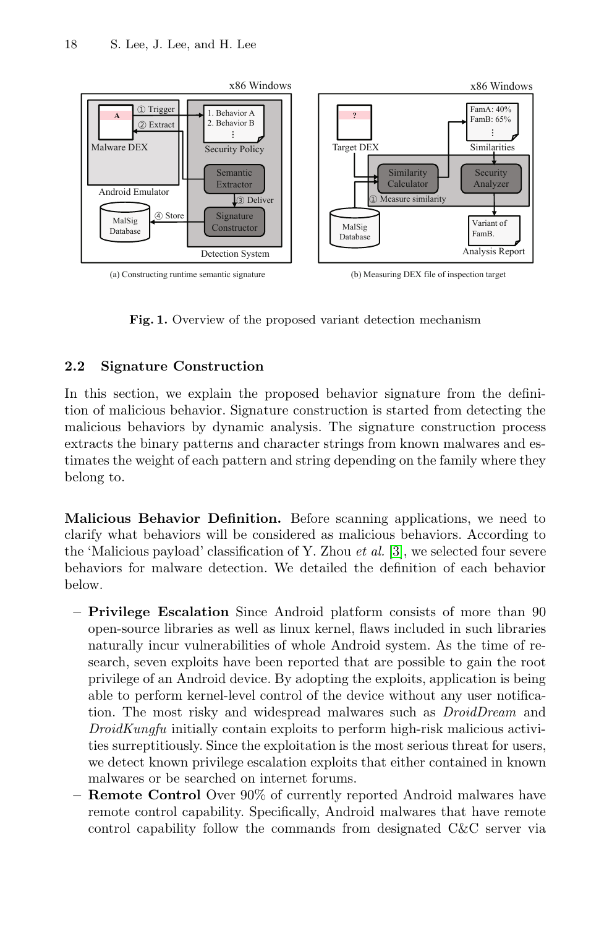#### 18 S. Lee, J. Lee, and H. Lee

<span id="page-4-0"></span>

**Fig. 1.** Overview of the proposed variant detection mechanism

### **2.2 Signature Construction**

In this section, we explain the proposed behavior signature from the definition of malicious behavior. Signature construction is started from detecting the malicious behaviors by dynamic a[nal](#page-12-1)ysis. The signature construction process extracts the binary patterns and character strings from known malwares and estimates the weight of each pattern and string depending on the family where they belong to.

**Malicious Behavior Definition.** Before scanning applications, we need to clarify what behaviors will be considered as malicious behaviors. According to the 'Malicious payload' classification of Y. Zhou *et al.* [3], we selected four severe behaviors for malware detection. We detailed the definition of each behavior below.

- **Privilege Escalation** Since Android platform consists of more than 90 open-source libraries as well as linux kernel, flaws included in such libraries naturally incur vulnerabilities of whole Android system. As the time of research, seven exploits have been reported that are possible to gain the root privilege of an Android device. By adopting the exploits, application is being able to perform kernel-level control of the device without any user notification. The most risky and widespread malwares such as *DroidDream* and *DroidKungfu* initially contain exploits to perform high-risk malicious activities surreptitiously. Since the exploitation is the most serious threat for users, we detect known privilege escalation exploits that either contained in known malwares or be searched on internet forums.
- **Remote Control** Over 90% of currently reported Android malwares have remote control capability. Specifically, Android malwares that have remote control capability follow the commands from designated C&C server via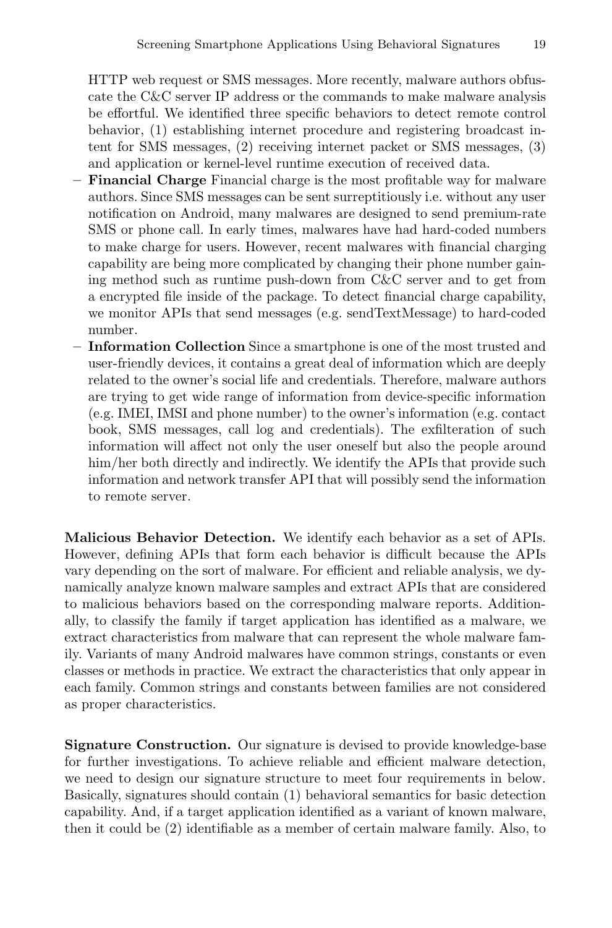HTTP web request or SMS messages. More recently, malware authors obfuscate the C&C server IP address or the commands to make malware analysis be effortful. We identified three specific behaviors to detect remote control behavior, (1) establishing internet procedure and registering broadcast intent for SMS messages, (2) receiving internet packet or SMS messages, (3) and application or kernel-level runtime execution of received data.

- **Financial Charge** Financial charge is the most profitable way for malware authors. Since SMS messages can be sent surreptitiously i.e. without any user notification on Android, many malwares are designed to send premium-rate SMS or phone call. In early times, malwares have had hard-coded numbers to make charge for users. However, recent malwares with financial charging capability are being more complicated by changing their phone number gaining method such as runtime push-down from C&C server and to get from a encrypted file inside of the package. To detect financial charge capability, we monitor APIs that send messages (e.g. sendTextMessage) to hard-coded number.
- **Information Collection** Since a smartphone is one of the most trusted and user-friendly devices, it contains a great deal of information which are deeply related to the owner's social life and credentials. Therefore, malware authors are trying to get wide range of information from device-specific information (e.g. IMEI, IMSI and phone number) to the owner's information (e.g. contact book, SMS messages, call log and credentials). The exfilteration of such information will affect not only the user oneself but also the people around him/her both directly and indirectly. We identify the APIs that provide such information and network transfer API that will possibly send the information to remote server.

**Malicious Behavior Detection.** We identify each behavior as a set of APIs. However, defining APIs that form each behavior is difficult because the APIs vary depending on the sort of malware. For efficient and reliable analysis, we dynamically analyze known malware samples and extract APIs that are considered to malicious behaviors based on the corresponding malware reports. Additionally, to classify the family if target application has identified as a malware, we extract characteristics from malware that can represent the whole malware family. Variants of many Android malwares have common strings, constants or even classes or methods in practice. We extract the characteristics that only appear in each family. Common strings and constants between families are not considered as proper characteristics.

**Signature Construction.** Our signature is devised to provide knowledge-base for further investigations. To achieve reliable and efficient malware detection, we need to design our signature structure to meet four requirements in below. Basically, signatures should contain (1) behavioral semantics for basic detection capability. And, if a target application identified as a variant of known malware, then it could be (2) identifiable as a member of certain malware family. Also, to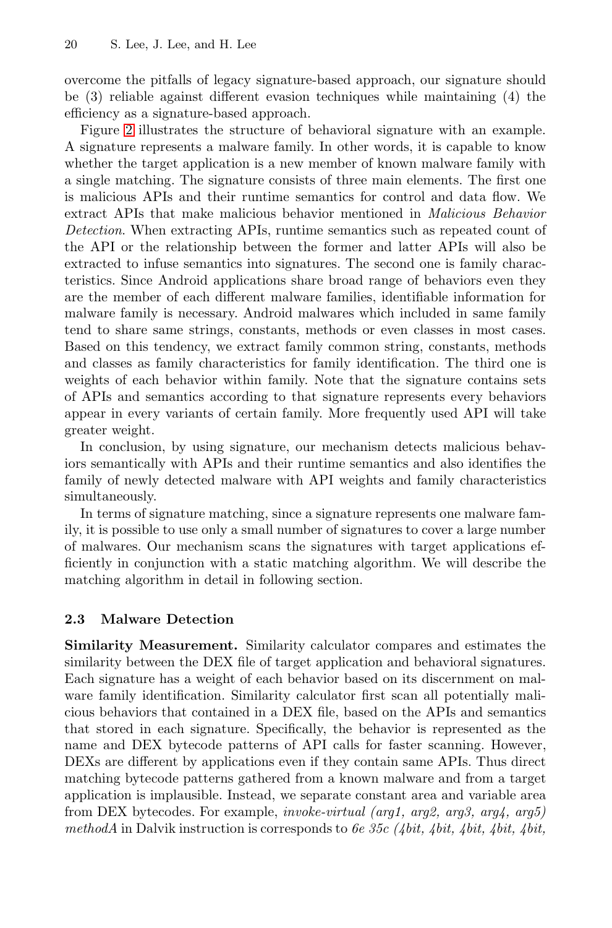#### 20 S. Lee, J. Lee, and H. Lee

overcome the pitfalls of legacy signature-based approach, our signature should be (3) reliable against different evasion techniques while maintaining (4) the efficiency as a signature-based approach.

Figure 2 illustrates the structure of behavioral signature with an example. A signature represents a malware family. In other words, it is capable to know whether the target application is a new member of known malware family with a single matching. The signature consists of three main elements. The first one is malicious APIs and their runtime semantics for control and data flow. We extract APIs that make malicious behavior mentioned in *Malicious Behavior Detection*. When extracting APIs, runtime semantics such as repeated count of the API or the relationship between the former and latter APIs will also be extracted to infuse semantics into signatures. The second one is family characteristics. Since Android applications share broad range of behaviors even they are the member of each different malware families, identifiable information for malware family is necessary. Android malwares which included in same family tend to share same strings, constants, methods or even classes in most cases. Based on this tendency, we extract family common string, constants, methods and classes as family characteristics for family identification. The third one is weights of each behavior within family. Note that the signature contains sets of APIs and semantics according to that signature represents every behaviors appear in every variants of certain family. More frequently used API will take greater weight.

In conclusion, by using signature, our mechanism detects malicious behaviors semantically with APIs and their runtime semantics and also identifies the family of newly detected malware with API weights and family characteristics simultaneously.

In terms of signature matching, since a signature represents one malware family, it is possible to use only a small number of signatures to cover a large number of malwares. Our mechanism scans the signatures with target applications efficiently in conjunction with a static matching algorithm. We will describe the matching algorithm in detail in following section.

#### **2.3 Malware Detection**

**Similarity Measurement.** Similarity calculator compares and estimates the similarity between the DEX file of target application and behavioral signatures. Each signature has a weight of each behavior based on its discernment on malware family identification. Similarity calculator first scan all potentially malicious behaviors that contained in a DEX file, based on the APIs and semantics that stored in each signature. Specifically, the behavior is represented as the name and DEX bytecode patterns of API calls for faster scanning. However, DEXs are different by applications even if they contain same APIs. Thus direct matching bytecode patterns gathered from a known malware and from a target application is implausible. Instead, we separate constant area and variable area from DEX bytecodes. For example, *invoke-virtual (arg1, arg2, arg3, arg4, arg5) methodA* in Dalvik instruction is corresponds to *6e 35c (4bit, 4bit, 4bit, 4bit, 4bit,*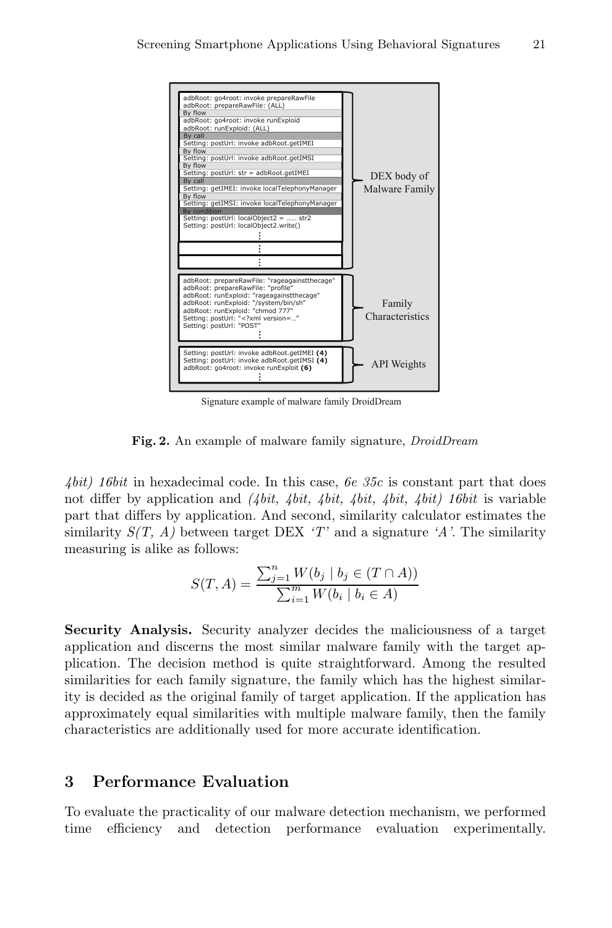

Signature example of malware family DroidDream

**Fig. 2.** An example of malware family signature, *DroidDream*

*4bit) 16bit* in hexadecimal code. In this case, *6e 35c* is constant part that does not differ by application and *(4bit, 4bit, 4bit, 4bit, 4bit, 4bit) 16bit* is variable part that differs by application. And second, similarity calculator estimates the similarity  $S(T, A)$  between target DEX *'T'* and a signature  $A'$ . The similarity measuring is alike as follows:

$$
S(T, A) = \frac{\sum_{j=1}^{n} W(b_j \mid b_j \in (T \cap A))}{\sum_{i=1}^{m} W(b_i \mid b_i \in A)}
$$

**Security Analysis.** Security analyzer decides the maliciousness of a target application and discerns the most similar malware family with the target application. The decision method is quite straightforward. Among the resulted similarities for each family signature, the family which has the highest similarity is decided as the original family of target application. If the application has approximately equal similarities with multiple malware family, then the family characteristics are additionally used for more accurate identification.

#### **3 Performance Evaluation**

To evaluate the practicality of our malware detection mechanism, we performed time efficiency and detection performance evaluation experimentally.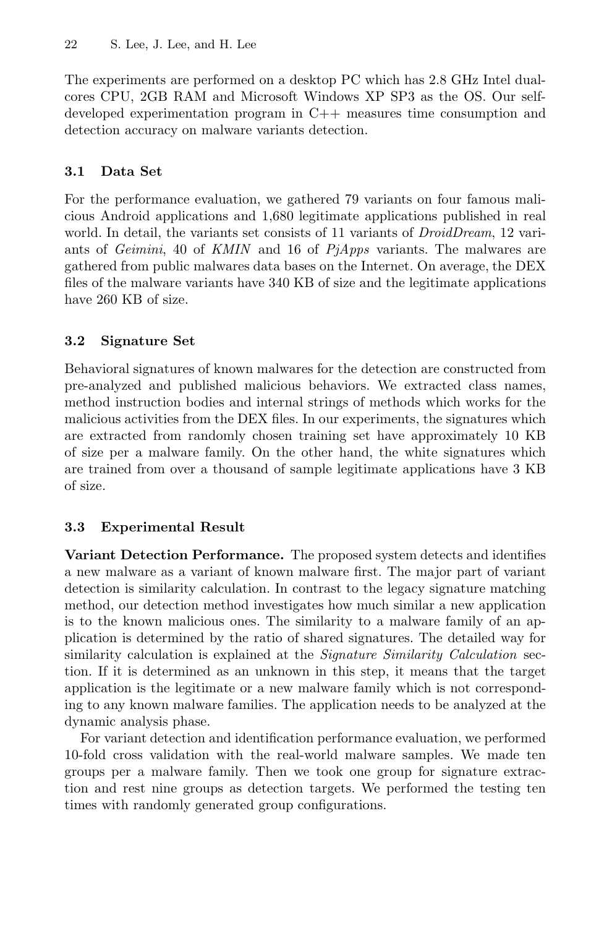The experiments are performed on a desktop PC which has 2.8 GHz Intel dualcores CPU, 2GB RAM and Microsoft Windows XP SP3 as the OS. Our selfdeveloped experimentation program in C++ measures time consumption and detection accuracy on malware variants detection.

### **3.1 Data Set**

For the performance evaluation, we gathered 79 variants on four famous malicious Android applications and 1,680 legitimate applications published in real world. In detail, the variants set consists of 11 variants of *DroidDream*, 12 variants of *Geimini*, 40 of *KMIN* and 16 of *PjApps* variants. The malwares are gathered from public malwares data bases on the Internet. On average, the DEX files of the malware variants have 340 KB of size and the legitimate applications have 260 KB of size.

### **3.2 Signature Set**

Behavioral signatures of known malwares for the detection are constructed from pre-analyzed and published malicious behaviors. We extracted class names, method instruction bodies and internal strings of methods which works for the malicious activities from the DEX files. In our experiments, the signatures which are extracted from randomly chosen training set have approximately 10 KB of size per a malware family. On the other hand, the white signatures which are trained from over a thousand of sample legitimate applications have 3 KB of size.

### **3.3 Experimental Result**

**Variant Detection Performance.** The proposed system detects and identifies a new malware as a variant of known malware first. The major part of variant detection is similarity calculation. In contrast to the legacy signature matching method, our detection method investigates how much similar a new application is to the known malicious ones. The similarity to a malware family of an application is determined by the ratio of shared signatures. The detailed way for similarity calculation is explained at the *Signature Similarity Calculation* section. If it is determined as an unknown in this step, it means that the target application is the legitimate or a new malware family which is not corresponding to any known malware families. The application needs to be analyzed at the dynamic analysis phase.

For variant detection and identification performance evaluation, we performed 10-fold cross validation with the real-world malware samples. We made ten groups per a malware family. Then we took one group for signature extraction and rest nine groups as detection targets. We performed the testing ten times with randomly generated group configurations.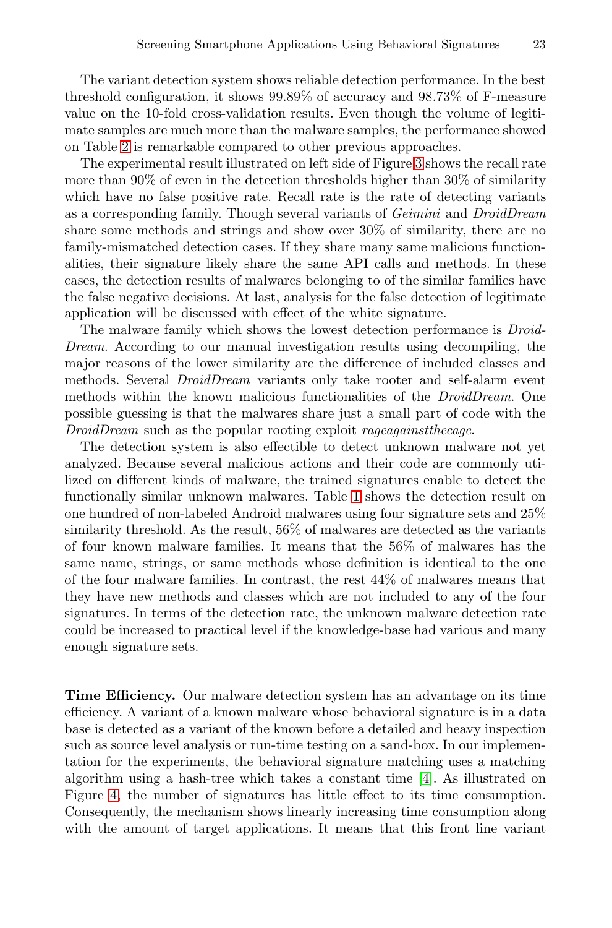The variant detection system shows reliable detection performance. In the best threshold configuration, it shows 99.89% of accuracy and 98.73% of F-measure value on the 10-fold cross-validation results. Even though the volume of legitimate samples are much more than the malware samples, the performance showed on Table 2 is remarkable compared to other previous approaches.

The experimental result illustrated on left side of Figure 3 shows the recall rate more than 90% of even in the detection thresholds higher than 30% of similarity which have no false positive rate. Recall rate is the rate of detecting variants as a corresponding family. Though several variants of *Geimini* and *DroidDream* share some methods and strings and show over 30% of similarity, there are no family-mismatched detection cases. If they share many same malicious functionalities, their signature likely share the same API calls and methods. In these cases, the detection results of malwares belonging to of the similar families have the false negative decisions. At last, analysis for the false detection of legitimate application will be discussed with effect of the white signature.

The malware family which shows the lowest detection performance is *Droid-Dream*. According to our manual investigation results using decompiling, the major reasons of the lower si[m](#page-10-1)ilarity are the difference of included classes and methods. Several *DroidDream* variants only take rooter and self-alarm event methods within the known malicious functionalities of the *DroidDream*. One possible guessing is that the malwares share just a small part of code with the *DroidDream* such as the popular rooting exploit *rageagainstthecage*.

The detection system is also effectible to detect unknown malware not yet analyzed. Because several malicious actions and their code are commonly utilized on different kinds of malware, the trained signatures enable to detect the functionally similar unknown malwares. Table 1 shows the detection result on one hundred of non-labeled Android malwares using four signature sets and 25% similarity threshold. As the result,  $56\%$  of malwares are detected as the variants of four known malware families. It means that the 56% of malwares has the same name, strings, or same methods whose definition is identical to the one of the four malware families. In contrast, the rest 44% of malwares means that they have new methods and classes which are not included to any of the four signatures. In terms of the detection rate, the unknown malware detection rate could be increased to practical level if the knowledge-base had various and many enough signature sets.

**Time Efficiency.** Our malware detection system has an advantage on its time efficiency. A variant of a known malware whose behavioral signature is in a data base is detected as a variant of the known before a detailed and heavy inspection such as source level analysis or run-time testing on a sand-box. In our implementation for the experiments, the behavioral signature matching uses a matching algorithm using a hash-tree which takes a constant time [4]. As illustrated on Figure 4, the number of signatures has little effect to its time consumption. Consequently, the mechanism shows linearly increasing time consumption along with the amount of target applications. It means that this front line variant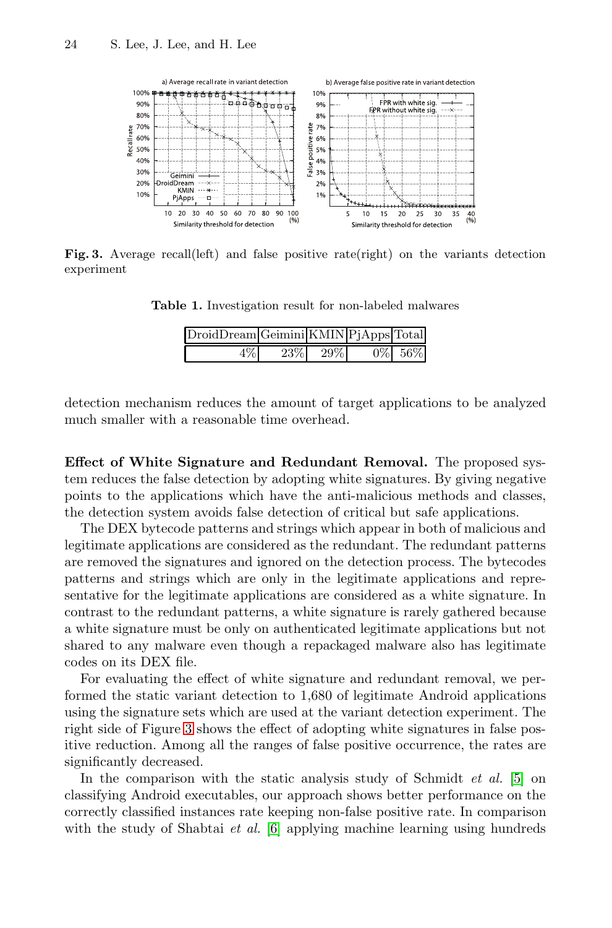#### <span id="page-10-0"></span>24 S. Lee, J. Lee, and H. Lee

<span id="page-10-1"></span>

**Fig. 3.** Average recall(left) and false positive rate(right) on the variants detection experiment

**Table 1.** Investigation result for non-labeled malwares

| DroidDream Geimini KMIN PjApps Total |           |        |
|--------------------------------------|-----------|--------|
| $4\%$                                | 23\% 29\% | 0% 56% |

detection mechanism reduces the amount of target applications to be analyzed much smaller with a reasonable time overhead.

**Effect of White Signature and Redundant Removal.** The proposed system reduces the false detection by adopting white signatures. By giving negative points to the applications which have the anti-malicious methods and classes, the detection system avoids false detection of critical but safe applications.

The DEX bytecode patterns and strings which appear in both of malicious and legitimate applications are considered as the redundant. The redundant patterns are removed the signatures and ignored on the detection process. The bytecodes patterns and strings which are only in the legitimate applications and repres[ent](#page-10-0)ative for the legitimate applications are considered as a white signature. In contrast to the redundant patterns, a white signature is rarely gathered because a white signature must be only on authenticated legitimate applications but not shared to any malware even though a repackaged mal[wa](#page-13-0)re also has legitimate codes on its DEX file.

For evaluating the effect of white signature and redundant removal, we performed the stat[ic](#page-13-1) variant detection to 1,680 of legitimate Android applications using the signature sets which are used at the variant detection experiment. The right side of Figure 3 shows the effect of adopting white signatures in false positive reduction. Among all the ranges of false positive occurrence, the rates are significantly decreased.

In the comparison with the static analysis study of Schmidt *et al.* [5] on classifying Android executables, our approach shows better performance on the correctly classified instances rate keeping non-false positive rate. In comparison with the study of Shabtai *et al.* [6] applying machine learning using hundreds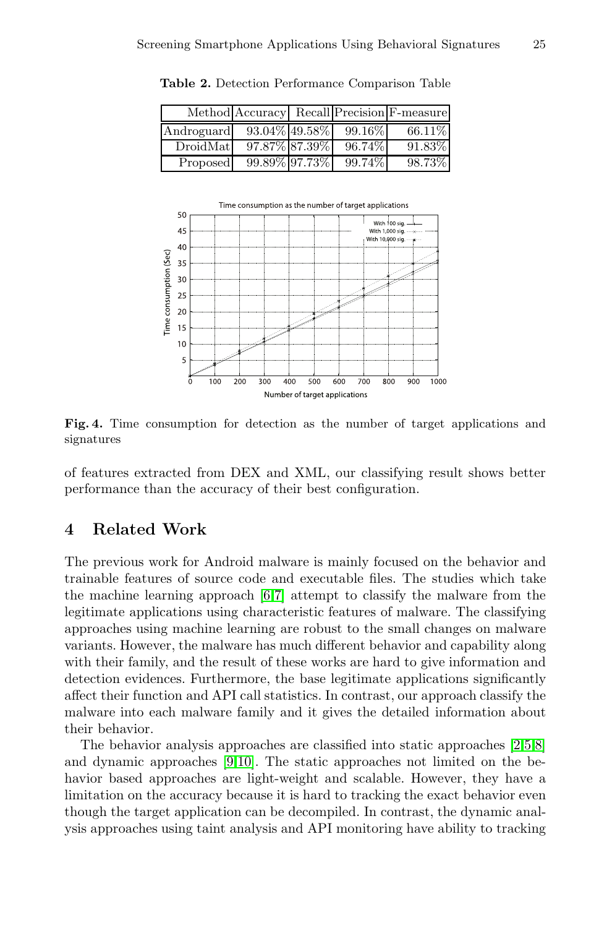**Table 2.** Detection Performance Comparison Table

|            |               |               |         | Method Accuracy Recall Precision F-measure |
|------------|---------------|---------------|---------|--------------------------------------------|
| Androguard |               | 93.04% 49.58% | 99.16\% | 66.11\%                                    |
| DroidMat   | 97.87% 87.39% |               | 96.74%  | 91.83%                                     |
| Proposed   | 99.89% 97.73% |               | 99.74%  | 98.73%                                     |



**Fig. 4.** Time consumption for detection as the number of target applications and signatures

of features ex[tra](#page-13-1)[ct](#page-13-2)ed from DEX and XML, our classifying result shows better performance than the accuracy of their best configuration.

### **4 Related Work**

The previous work for Android malware is mainly focused on the behavior and trainable features of source code and executable files. The studies which take the machine learning approach [6,7] attempt to classify the malware from the legitimate applications using characteristic features of [ma](#page-12-0)[lw](#page-13-0)[a](#page-13-3)re. The classifying approac[he](#page-13-4)[s us](#page-13-5)ing machine learning are robust to the small changes on malware variants. However, the malware has much different behavior and capability along with their family, and the result of these works are hard to give information and detection evidences. Furthermore, the base legitimate applications significantly affect their function and API call statistics. In contrast, our approach classify the malware into each malware family and it gives the detailed information about their behavior.

The behavior analysis approaches are classified into static approaches [2,5,8] and dynamic approaches [9,10]. The static approaches not limited on the behavior based approaches are light-weight and scalable. However, they have a limitation on the accuracy because it is hard to tracking the exact behavior even though the target application can be decompiled. In contrast, the dynamic analysis approaches using taint analysis and API monitoring have ability to tracking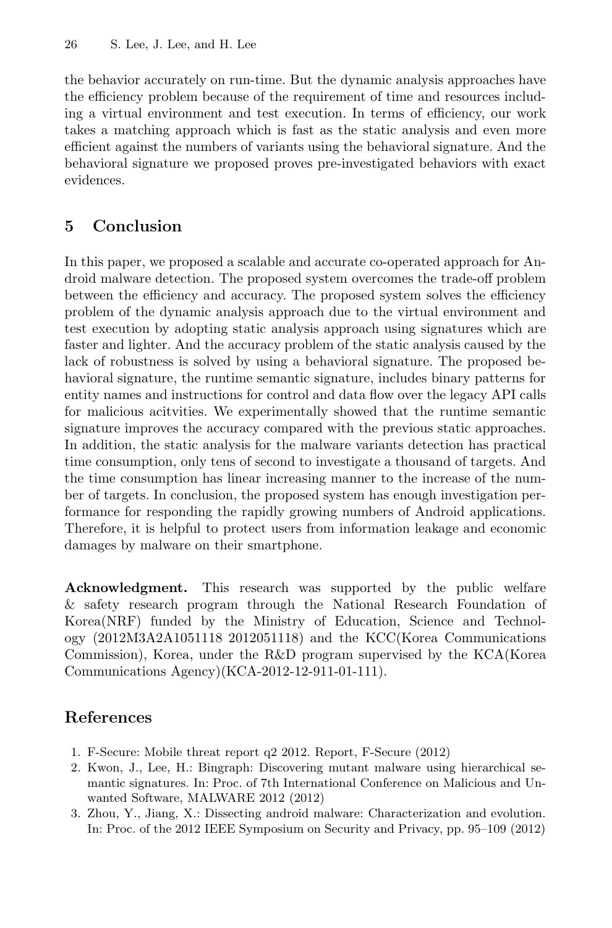the behavior accurately on run-time. But the dynamic analysis approaches have the efficiency problem because of the requirement of time and resources including a virtual environment and test execution. In terms of efficiency, our work takes a matching approach which is fast as the static analysis and even more efficient against the numbers of variants using the behavioral signature. And the behavioral signature we proposed proves pre-investigated behaviors with exact evidences.

## **5 Conclusion**

In this paper, we proposed a scalable and accurate co-operated approach for Android malware detection. The proposed system overcomes the trade-off problem between the efficiency and accuracy. The proposed system solves the efficiency problem of the dynamic analysis approach due to the virtual environment and test execution by adopting static analysis approach using signatures which are faster and lighter. And the accuracy problem of the static analysis caused by the lack of robustness is solved by using a behavioral signature. The proposed behavioral signature, the runtime semantic signature, includes binary patterns for entity names and instructions for control and data flow over the legacy API calls for malicious acitvities. We experimentally showed that the runtime semantic signature improves the accuracy compared with the previous static approaches. In addition, the static analysis for the malware variants detection has practical time consumption, only tens of second to investigate a thousand of targets. And the time consumption has linear increasing manner to the increase of the number of targets. In conclusion, the proposed system has enough investigation performance for responding the rapidly growing numbers of Android applications. Therefore, it is helpful to protect users from information leakage and economic damages by malware on their smartphone.

<span id="page-12-0"></span>**Acknowledgment.** This research was supported by the public welfare & safety research program through the National Research Foundation of Korea(NRF) funded by the Ministry of Education, Science and Technology (2012M3A2A1051118 2012051118) and the KCC(Korea Communications Commission), Korea, under the R&D program supervised by the KCA(Korea Communications Agency)(KCA-2012-12-911-01-111).

# <span id="page-12-1"></span>**References**

- 1. F-Secure: Mobile threat report q2 2012. Report, F-Secure (2012)
- 2. Kwon, J., Lee, H.: Bingraph: Discovering mutant malware using hierarchical semantic signatures. In: Proc. of 7th International Conference on Malicious and Unwanted Software, MALWARE 2012 (2012)
- 3. Zhou, Y., Jiang, X.: Dissecting android malware: Characterization and evolution. In: Proc. of the 2012 IEEE Symposium on Security and Privacy, pp. 95–109 (2012)